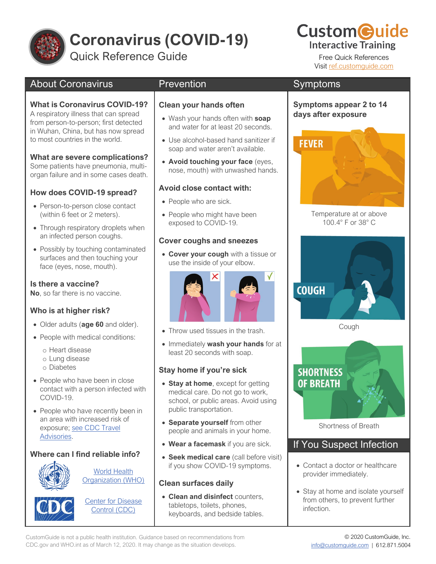

# **Coronavirus (COVID-19)**

Quick Reference Guide Free Quick References

## About Coronavirus

## **What is Coronavirus COVID-19?**

A respiratory illness that can spread from person-to-person; first detected in Wuhan, China, but has now spread to most countries in the world.

## **What are severe complications?**

Some patients have pneumonia, multiorgan failure and in some cases death.

## **How does COVID-19 spread?**

- Person-to-person close contact (within 6 feet or 2 meters).
- Through respiratory droplets when an infected person coughs.
- Possibly by touching contaminated surfaces and then touching your face (eyes, nose, mouth).

## **Is there a vaccine?**

**No**, so far there is no vaccine.

## **Who is at higher risk?**

- Older adults (**age 60** and older).
- People with medical conditions:
	- o Heart disease
	- o Lung disease
	- o Diabetes
- People who have been in close contact with a person infected with COVID-19.
- People who have recently been in an area with increased risk of exposure; [see CDC Travel](https://www.customguide.com/s/-5-v70)  [Advisories.](https://www.customguide.com/s/-5-v70)

## **Where can I find reliable info?**



[World Health](https://www.customguide.com/s/d-ptfj)  [Organization \(WHO\)](https://www.customguide.com/s/d-ptfj)



**Center for Disease** [Control \(CDC\)](https://www.customguide.com/s/30rfkw)

## **Prevention**

## **Clean your hands often**

- Wash your hands often with **soap** and water for at least 20 seconds.
- Use alcohol-based hand sanitizer if soap and water aren't available.
- **Avoid touching your face** (eyes, nose, mouth) with unwashed hands.

## **Avoid close contact with:**

- People who are sick.
- People who might have been exposed to COVID-19.

## **Cover coughs and sneezes**

• **Cover your cough** with a tissue or use the inside of your elbow.



- Throw used tissues in the trash.
- Immediately **wash your hands** for at least 20 seconds with soap.

## **Stay home if you're sick**

- **Stay at home**, except for getting medical care. Do not go to work, school, or public areas. Avoid using public transportation.
- **Separate yourself** from other people and animals in your home.
- **Wear a facemask** if you are sick.
- **Seek medical care** (call before visit) if you show COVID-19 symptoms.

## **Clean surfaces daily**

• **Clean and disinfect** counters, tabletops, toilets, phones, keyboards, and bedside tables.

## Symptoms

## **Symptoms appear 2 to 14 days after exposure**



Temperature at or above 100.4° F or 38° C



Cough



Shortness of Breath

## If You Suspect Infection

- Contact a doctor or healthcare provider immediately.
- Stay at home and isolate yourself from others, to prevent further infection.

**Custom@uide Interactive Training** 

Visit [ref.customguide.com](https://www.customguide.com/s/nzjkao)